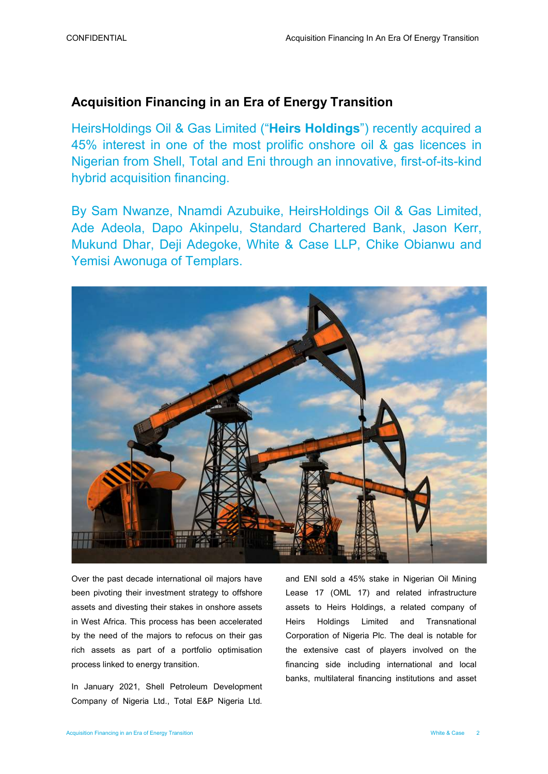# Acquisition Financing in an Era of Energy Transition

HeirsHoldings Oil & Gas Limited ("Heirs Holdings") recently acquired a 45% interest in one of the most prolific onshore oil & gas licences in Nigerian from Shell, Total and Eni through an innovative, first-of-its-kind hybrid acquisition financing.

By Sam Nwanze, Nnamdi Azubuike, HeirsHoldings Oil & Gas Limited, Ade Adeola, Dapo Akinpelu, Standard Chartered Bank, Jason Kerr, Mukund Dhar, Deji Adegoke, White & Case LLP, Chike Obianwu and Yemisi Awonuga of Templars.



Over the past decade international oil majors have been pivoting their investment strategy to offshore assets and divesting their stakes in onshore assets in West Africa. This process has been accelerated by the need of the majors to refocus on their gas rich assets as part of a portfolio optimisation process linked to energy transition.

In January 2021, Shell Petroleum Development Company of Nigeria Ltd., Total E&P Nigeria Ltd.

and ENI sold a 45% stake in Nigerian Oil Mining Lease 17 (OML 17) and related infrastructure assets to Heirs Holdings, a related company of Heirs Holdings Limited and Transnational Corporation of Nigeria Plc. The deal is notable for the extensive cast of players involved on the financing side including international and local banks, multilateral financing institutions and asset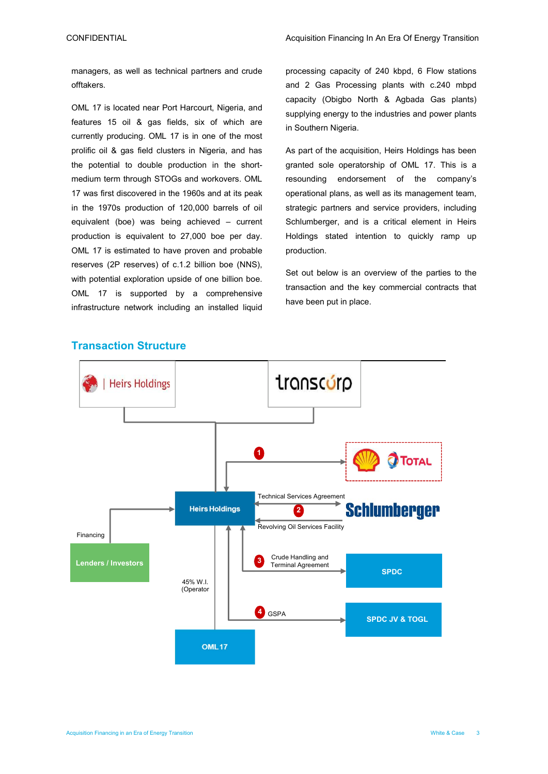managers, as well as technical partners and crude offtakers.

OML 17 is located near Port Harcourt, Nigeria, and features 15 oil & gas fields, six of which are currently producing. OML 17 is in one of the most prolific oil & gas field clusters in Nigeria, and has the potential to double production in the shortmedium term through STOGs and workovers. OML 17 was first discovered in the 1960s and at its peak in the 1970s production of 120,000 barrels of oil equivalent (boe) was being achieved – current production is equivalent to 27,000 boe per day. OML 17 is estimated to have proven and probable reserves (2P reserves) of c.1.2 billion boe (NNS), with potential exploration upside of one billion boe. OML 17 is supported by a comprehensive infrastructure network including an installed liquid processing capacity of 240 kbpd, 6 Flow stations and 2 Gas Processing plants with c.240 mbpd capacity (Obigbo North & Agbada Gas plants) supplying energy to the industries and power plants in Southern Nigeria.

As part of the acquisition, Heirs Holdings has been granted sole operatorship of OML 17. This is a resounding endorsement of the company's operational plans, as well as its management team, strategic partners and service providers, including Schlumberger, and is a critical element in Heirs Holdings stated intention to quickly ramp up production.

Set out below is an overview of the parties to the transaction and the key commercial contracts that have been put in place.



# Transaction Structure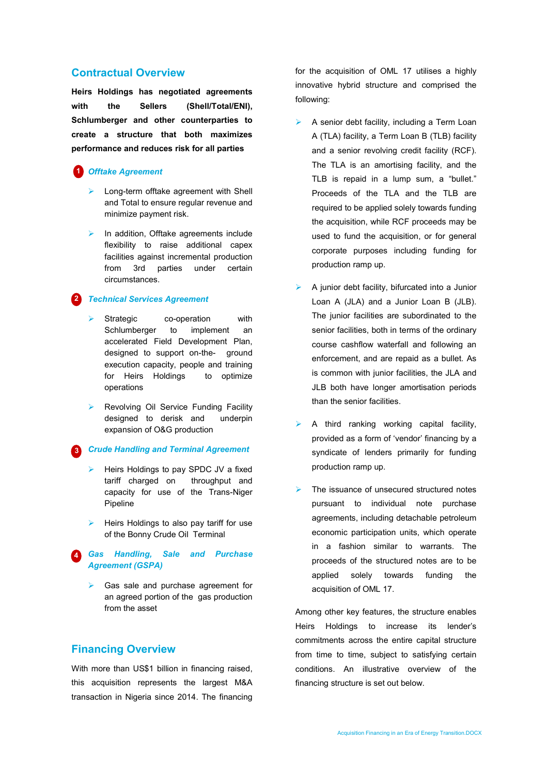### Contractual Overview

Heirs Holdings has negotiated agreements with the Sellers (Shell/Total/ENI), Schlumberger and other counterparties to create a structure that both maximizes performance and reduces risk for all parties

#### 1 Offtake Agreement

- $\triangleright$  Long-term offtake agreement with Shell and Total to ensure regular revenue and minimize payment risk.
- $\triangleright$  In addition, Offtake agreements include flexibility to raise additional capex facilities against incremental production from 3rd parties under certain circumstances.

#### 2 Technical Services Agreement

- Strategic co-operation with Schlumberger to implement an accelerated Field Development Plan, designed to support on-the- ground execution capacity, people and training for Heirs Holdings to optimize operations
- Revolving Oil Service Funding Facility designed to derisk and underpin expansion of O&G production

**3** Crude Handling and Terminal Agreement

- $\triangleright$  Heirs Holdings to pay SPDC JV a fixed tariff charged on throughput and capacity for use of the Trans-Niger Pipeline
- $\blacktriangleright$  Heirs Holdings to also pay tariff for use of the Bonny Crude Oil Terminal
- Gas Handling, Sale and Purchase Agreement (GSPA) 4
	- Gas sale and purchase agreement for an agreed portion of the gas production from the asset

### Financing Overview

With more than US\$1 billion in financing raised. this acquisition represents the largest M&A transaction in Nigeria since 2014. The financing for the acquisition of OML 17 utilises a highly innovative hybrid structure and comprised the following:

- A senior debt facility, including a Term Loan A (TLA) facility, a Term Loan B (TLB) facility and a senior revolving credit facility (RCF). The TLA is an amortising facility, and the TLB is repaid in a lump sum, a "bullet." Proceeds of the TLA and the TLB are required to be applied solely towards funding the acquisition, while RCF proceeds may be used to fund the acquisition, or for general corporate purposes including funding for production ramp up.
- A junior debt facility, bifurcated into a Junior Loan A (JLA) and a Junior Loan B (JLB). The junior facilities are subordinated to the senior facilities, both in terms of the ordinary course cashflow waterfall and following an enforcement, and are repaid as a bullet. As is common with junior facilities, the JLA and JLB both have longer amortisation periods than the senior facilities.
- A third ranking working capital facility, provided as a form of 'vendor' financing by a syndicate of lenders primarily for funding production ramp up.
- $\triangleright$  The issuance of unsecured structured notes pursuant to individual note purchase agreements, including detachable petroleum economic participation units, which operate in a fashion similar to warrants. The proceeds of the structured notes are to be applied solely towards funding the acquisition of OML 17.

Among other key features, the structure enables Heirs Holdings to increase its lender's commitments across the entire capital structure from time to time, subject to satisfying certain conditions. An illustrative overview of the financing structure is set out below.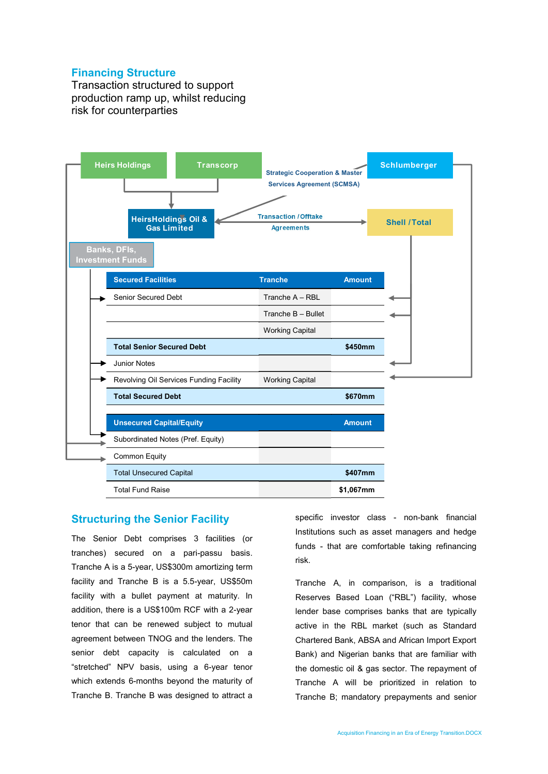# Financing Structure

Transaction structured to support production ramp up, whilst reducing risk for counterparties



# Structuring the Senior Facility

The Senior Debt comprises 3 facilities (or tranches) secured on a pari-passu basis. Tranche A is a 5-year, US\$300m amortizing term facility and Tranche B is a 5.5-year, US\$50m facility with a bullet payment at maturity. In addition, there is a US\$100m RCF with a 2-year tenor that can be renewed subject to mutual agreement between TNOG and the lenders. The senior debt capacity is calculated on a "stretched" NPV basis, using a 6-year tenor which extends 6-months beyond the maturity of Tranche B. Tranche B was designed to attract a

specific investor class - non-bank financial Institutions such as asset managers and hedge funds - that are comfortable taking refinancing risk.

Tranche A, in comparison, is a traditional Reserves Based Loan ("RBL") facility, whose lender base comprises banks that are typically active in the RBL market (such as Standard Chartered Bank, ABSA and African Import Export Bank) and Nigerian banks that are familiar with the domestic oil & gas sector. The repayment of Tranche A will be prioritized in relation to Tranche B; mandatory prepayments and senior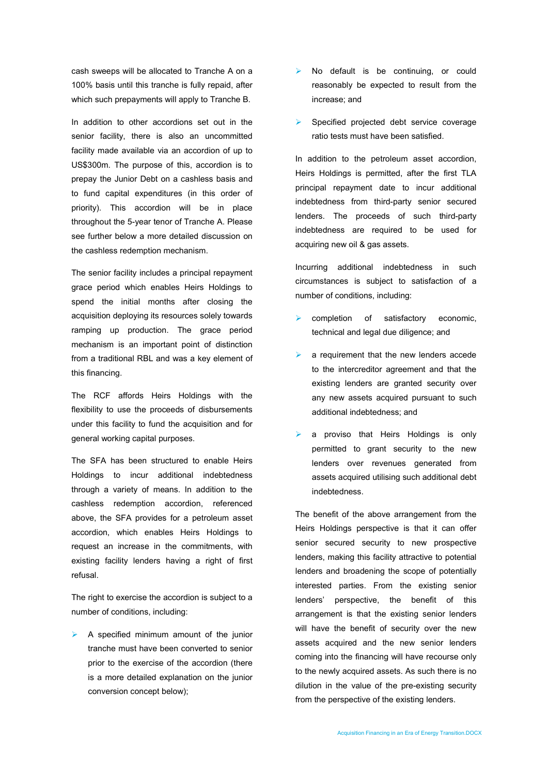cash sweeps will be allocated to Tranche A on a 100% basis until this tranche is fully repaid, after which such prepayments will apply to Tranche B.

In addition to other accordions set out in the senior facility, there is also an uncommitted facility made available via an accordion of up to US\$300m. The purpose of this, accordion is to prepay the Junior Debt on a cashless basis and to fund capital expenditures (in this order of priority). This accordion will be in place throughout the 5-year tenor of Tranche A. Please see further below a more detailed discussion on the cashless redemption mechanism.

The senior facility includes a principal repayment grace period which enables Heirs Holdings to spend the initial months after closing the acquisition deploying its resources solely towards ramping up production. The grace period mechanism is an important point of distinction from a traditional RBL and was a key element of this financing.

The RCF affords Heirs Holdings with the flexibility to use the proceeds of disbursements under this facility to fund the acquisition and for general working capital purposes.

The SFA has been structured to enable Heirs Holdings to incur additional indebtedness through a variety of means. In addition to the cashless redemption accordion, referenced above, the SFA provides for a petroleum asset accordion, which enables Heirs Holdings to request an increase in the commitments, with existing facility lenders having a right of first refusal.

The right to exercise the accordion is subject to a number of conditions, including:

 $\triangleright$  A specified minimum amount of the junior tranche must have been converted to senior prior to the exercise of the accordion (there is a more detailed explanation on the junior conversion concept below);

- > No default is be continuing, or could reasonably be expected to result from the increase; and
- Specified projected debt service coverage ratio tests must have been satisfied.

In addition to the petroleum asset accordion, Heirs Holdings is permitted, after the first TLA principal repayment date to incur additional indebtedness from third-party senior secured lenders. The proceeds of such third-party indebtedness are required to be used for acquiring new oil & gas assets.

Incurring additional indebtedness in such circumstances is subject to satisfaction of a number of conditions, including:

- completion of satisfactory economic, technical and legal due diligence; and
- $\blacktriangleright$  a requirement that the new lenders accede to the intercreditor agreement and that the existing lenders are granted security over any new assets acquired pursuant to such additional indebtedness; and
- a proviso that Heirs Holdings is only permitted to grant security to the new lenders over revenues generated from assets acquired utilising such additional debt indebtedness.

The benefit of the above arrangement from the Heirs Holdings perspective is that it can offer senior secured security to new prospective lenders, making this facility attractive to potential lenders and broadening the scope of potentially interested parties. From the existing senior lenders' perspective, the benefit of this arrangement is that the existing senior lenders will have the benefit of security over the new assets acquired and the new senior lenders coming into the financing will have recourse only to the newly acquired assets. As such there is no dilution in the value of the pre-existing security from the perspective of the existing lenders.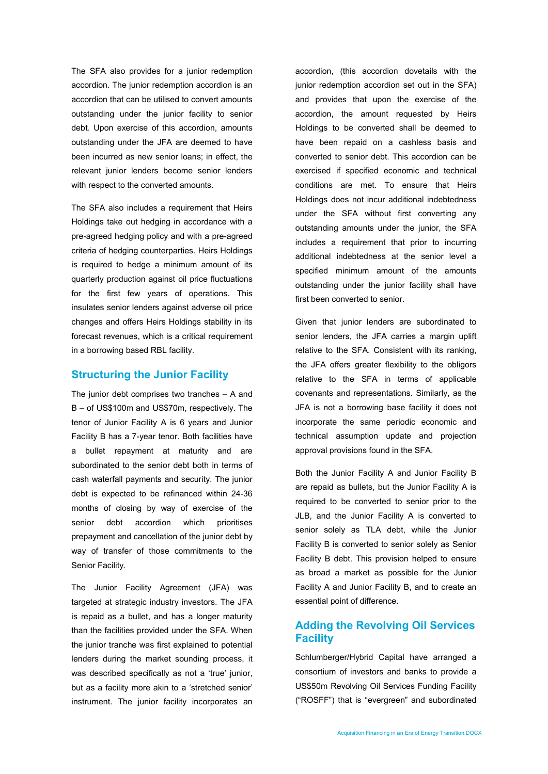The SFA also provides for a junior redemption accordion. The junior redemption accordion is an accordion that can be utilised to convert amounts outstanding under the junior facility to senior debt. Upon exercise of this accordion, amounts outstanding under the JFA are deemed to have been incurred as new senior loans; in effect, the relevant junior lenders become senior lenders with respect to the converted amounts.

The SFA also includes a requirement that Heirs Holdings take out hedging in accordance with a pre-agreed hedging policy and with a pre-agreed criteria of hedging counterparties. Heirs Holdings is required to hedge a minimum amount of its quarterly production against oil price fluctuations for the first few years of operations. This insulates senior lenders against adverse oil price changes and offers Heirs Holdings stability in its forecast revenues, which is a critical requirement in a borrowing based RBL facility.

### Structuring the Junior Facility

The junior debt comprises two tranches – A and B – of US\$100m and US\$70m, respectively. The tenor of Junior Facility A is 6 years and Junior Facility B has a 7-year tenor. Both facilities have a bullet repayment at maturity and are subordinated to the senior debt both in terms of cash waterfall payments and security. The junior debt is expected to be refinanced within 24-36 months of closing by way of exercise of the senior debt accordion which prioritises prepayment and cancellation of the junior debt by way of transfer of those commitments to the Senior Facility.

The Junior Facility Agreement (JFA) was targeted at strategic industry investors. The JFA is repaid as a bullet, and has a longer maturity than the facilities provided under the SFA. When the junior tranche was first explained to potential lenders during the market sounding process, it was described specifically as not a 'true' junior, but as a facility more akin to a 'stretched senior' instrument. The junior facility incorporates an

accordion, (this accordion dovetails with the junior redemption accordion set out in the SFA) and provides that upon the exercise of the accordion, the amount requested by Heirs Holdings to be converted shall be deemed to have been repaid on a cashless basis and converted to senior debt. This accordion can be exercised if specified economic and technical conditions are met. To ensure that Heirs Holdings does not incur additional indebtedness under the SFA without first converting any outstanding amounts under the junior, the SFA includes a requirement that prior to incurring additional indebtedness at the senior level a specified minimum amount of the amounts outstanding under the junior facility shall have first been converted to senior.

Given that junior lenders are subordinated to senior lenders, the JFA carries a margin uplift relative to the SFA. Consistent with its ranking, the JFA offers greater flexibility to the obligors relative to the SFA in terms of applicable covenants and representations. Similarly, as the JFA is not a borrowing base facility it does not incorporate the same periodic economic and technical assumption update and projection approval provisions found in the SFA.

Both the Junior Facility A and Junior Facility B are repaid as bullets, but the Junior Facility A is required to be converted to senior prior to the JLB, and the Junior Facility A is converted to senior solely as TLA debt, while the Junior Facility B is converted to senior solely as Senior Facility B debt. This provision helped to ensure as broad a market as possible for the Junior Facility A and Junior Facility B, and to create an essential point of difference.

# Adding the Revolving Oil Services **Facility**

Schlumberger/Hybrid Capital have arranged a consortium of investors and banks to provide a US\$50m Revolving Oil Services Funding Facility ("ROSFF") that is "evergreen" and subordinated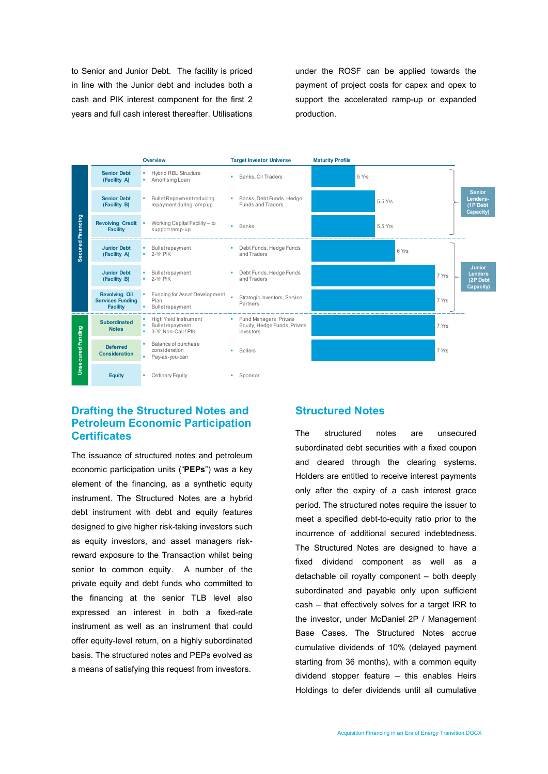to Senior and Junior Debt. The facility is priced in line with the Junior debt and includes both a cash and PIK interest component for the first 2 years and full cash interest thereafter. Utilisations

under the ROSF can be applied towards the payment of project costs for capex and opex to support the accelerated ramp-up or expanded production.



# Drafting the Structured Notes and Petroleum Economic Participation **Certificates**

The issuance of structured notes and petroleum economic participation units ("PEPs") was a key element of the financing, as a synthetic equity instrument. The Structured Notes are a hybrid debt instrument with debt and equity features designed to give higher risk-taking investors such as equity investors, and asset managers riskreward exposure to the Transaction whilst being senior to common equity. A number of the private equity and debt funds who committed to the financing at the senior TLB level also expressed an interest in both a fixed-rate instrument as well as an instrument that could offer equity-level return, on a highly subordinated basis. The structured notes and PEPs evolved as a means of satisfying this request from investors.

### Structured Notes

The structured notes are unsecured subordinated debt securities with a fixed coupon and cleared through the clearing systems. Holders are entitled to receive interest payments only after the expiry of a cash interest grace period. The structured notes require the issuer to meet a specified debt-to-equity ratio prior to the incurrence of additional secured indebtedness. The Structured Notes are designed to have a fixed dividend component as well as a detachable oil royalty component – both deeply subordinated and payable only upon sufficient cash – that effectively solves for a target IRR to the investor, under McDaniel 2P / Management Base Cases. The Structured Notes accrue cumulative dividends of 10% (delayed payment starting from 36 months), with a common equity dividend stopper feature – this enables Heirs Holdings to defer dividends until all cumulative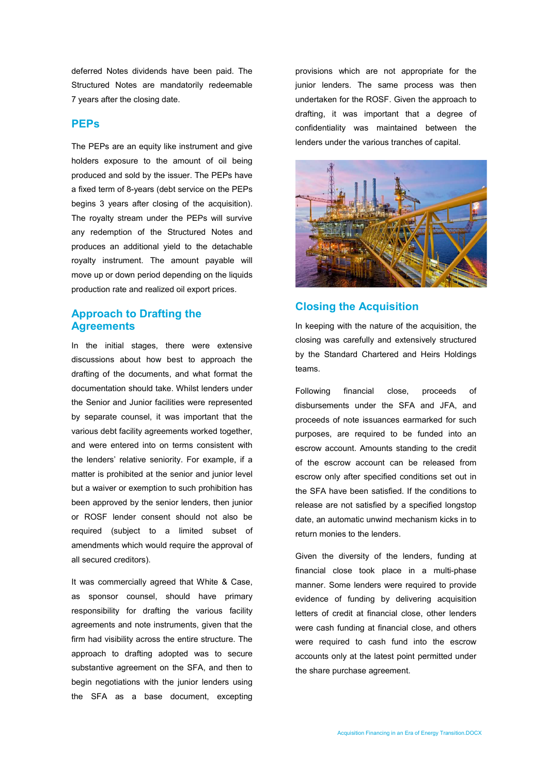deferred Notes dividends have been paid. The Structured Notes are mandatorily redeemable 7 years after the closing date.

#### PEPs

The PEPs are an equity like instrument and give holders exposure to the amount of oil being produced and sold by the issuer. The PEPs have a fixed term of 8-years (debt service on the PEPs begins 3 years after closing of the acquisition). The royalty stream under the PEPs will survive any redemption of the Structured Notes and produces an additional yield to the detachable royalty instrument. The amount payable will move up or down period depending on the liquids production rate and realized oil export prices.

### Approach to Drafting the **Agreements**

In the initial stages, there were extensive discussions about how best to approach the drafting of the documents, and what format the documentation should take. Whilst lenders under the Senior and Junior facilities were represented by separate counsel, it was important that the various debt facility agreements worked together, and were entered into on terms consistent with the lenders' relative seniority. For example, if a matter is prohibited at the senior and junior level but a waiver or exemption to such prohibition has been approved by the senior lenders, then junior or ROSF lender consent should not also be required (subject to a limited subset of amendments which would require the approval of all secured creditors).

It was commercially agreed that White & Case, as sponsor counsel, should have primary responsibility for drafting the various facility agreements and note instruments, given that the firm had visibility across the entire structure. The approach to drafting adopted was to secure substantive agreement on the SFA, and then to begin negotiations with the junior lenders using the SFA as a base document, excepting

provisions which are not appropriate for the junior lenders. The same process was then undertaken for the ROSF. Given the approach to drafting, it was important that a degree of confidentiality was maintained between the lenders under the various tranches of capital.



# Closing the Acquisition

In keeping with the nature of the acquisition, the closing was carefully and extensively structured by the Standard Chartered and Heirs Holdings teams.

Following financial close, proceeds of disbursements under the SFA and JFA, and proceeds of note issuances earmarked for such purposes, are required to be funded into an escrow account. Amounts standing to the credit of the escrow account can be released from escrow only after specified conditions set out in the SFA have been satisfied. If the conditions to release are not satisfied by a specified longstop date, an automatic unwind mechanism kicks in to return monies to the lenders.

Given the diversity of the lenders, funding at financial close took place in a multi-phase manner. Some lenders were required to provide evidence of funding by delivering acquisition letters of credit at financial close, other lenders were cash funding at financial close, and others were required to cash fund into the escrow accounts only at the latest point permitted under the share purchase agreement.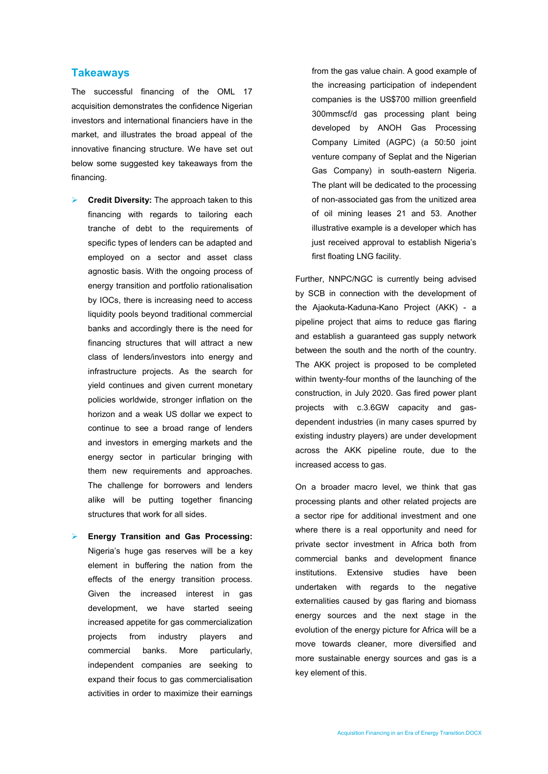#### **Takeaways**

The successful financing of the OML 17 acquisition demonstrates the confidence Nigerian investors and international financiers have in the market, and illustrates the broad appeal of the innovative financing structure. We have set out below some suggested key takeaways from the financing.

- Credit Diversity: The approach taken to this financing with regards to tailoring each tranche of debt to the requirements of specific types of lenders can be adapted and employed on a sector and asset class agnostic basis. With the ongoing process of energy transition and portfolio rationalisation by IOCs, there is increasing need to access liquidity pools beyond traditional commercial banks and accordingly there is the need for financing structures that will attract a new class of lenders/investors into energy and infrastructure projects. As the search for yield continues and given current monetary policies worldwide, stronger inflation on the horizon and a weak US dollar we expect to continue to see a broad range of lenders and investors in emerging markets and the energy sector in particular bringing with them new requirements and approaches. The challenge for borrowers and lenders alike will be putting together financing structures that work for all sides.
- Energy Transition and Gas Processing: Nigeria's huge gas reserves will be a key element in buffering the nation from the effects of the energy transition process. Given the increased interest in gas development, we have started seeing increased appetite for gas commercialization projects from industry players and commercial banks. More particularly, independent companies are seeking to expand their focus to gas commercialisation activities in order to maximize their earnings

from the gas value chain. A good example of the increasing participation of independent companies is the US\$700 million greenfield 300mmscf/d gas processing plant being developed by ANOH Gas Processing Company Limited (AGPC) (a 50:50 joint venture company of Seplat and the Nigerian Gas Company) in south-eastern Nigeria. The plant will be dedicated to the processing of non-associated gas from the unitized area of oil mining leases 21 and 53. Another illustrative example is a developer which has just received approval to establish Nigeria's first floating LNG facility.

Further, NNPC/NGC is currently being advised by SCB in connection with the development of the Ajaokuta-Kaduna-Kano Project (AKK) - a pipeline project that aims to reduce gas flaring and establish a guaranteed gas supply network between the south and the north of the country. The AKK project is proposed to be completed within twenty-four months of the launching of the construction, in July 2020. Gas fired power plant projects with c.3.6GW capacity and gasdependent industries (in many cases spurred by existing industry players) are under development across the AKK pipeline route, due to the increased access to gas.

On a broader macro level, we think that gas processing plants and other related projects are a sector ripe for additional investment and one where there is a real opportunity and need for private sector investment in Africa both from commercial banks and development finance institutions. Extensive studies have been undertaken with regards to the negative externalities caused by gas flaring and biomass energy sources and the next stage in the evolution of the energy picture for Africa will be a move towards cleaner, more diversified and more sustainable energy sources and gas is a key element of this.